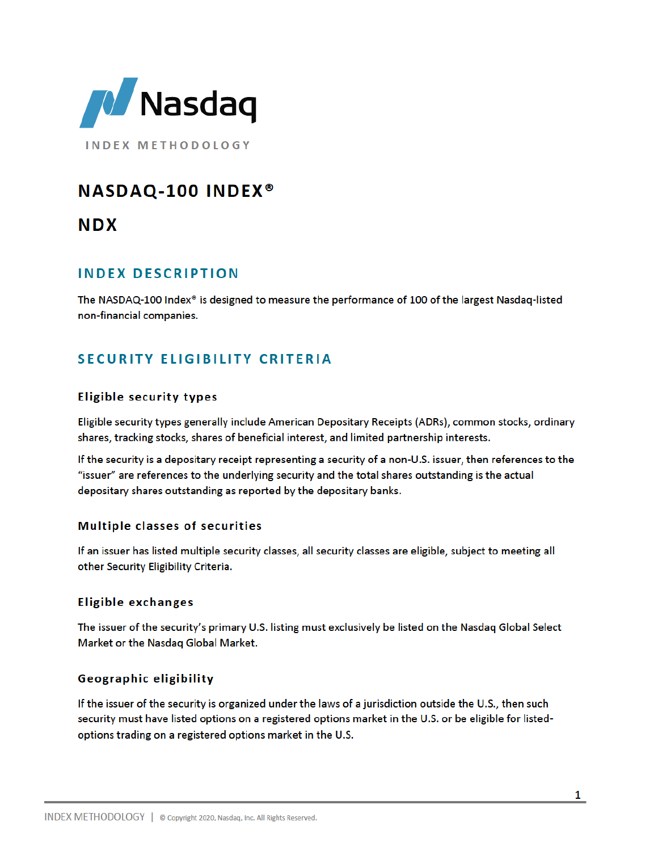

**INDEX METHODOLOGY** 

# **NASDAQ-100 INDEX®**

**NDX** 

## **INDEX DESCRIPTION**

The NASDAQ-100 Index® is designed to measure the performance of 100 of the largest Nasdaq-listed non-financial companies.

## **SECURITY ELIGIBILITY CRITERIA**

## **Eligible security types**

Eligible security types generally include American Depositary Receipts (ADRs), common stocks, ordinary shares, tracking stocks, shares of beneficial interest, and limited partnership interests.

If the security is a depositary receipt representing a security of a non-U.S. issuer, then references to the "issuer" are references to the underlying security and the total shares outstanding is the actual depositary shares outstanding as reported by the depositary banks.

## Multiple classes of securities

If an issuer has listed multiple security classes, all security classes are eligible, subject to meeting all other Security Eligibility Criteria.

#### **Eligible exchanges**

The issuer of the security's primary U.S. listing must exclusively be listed on the Nasdaq Global Select Market or the Nasdaq Global Market.

## Geographic eligibility

If the issuer of the security is organized under the laws of a jurisdiction outside the U.S., then such security must have listed options on a registered options market in the U.S. or be eligible for listedoptions trading on a registered options market in the U.S.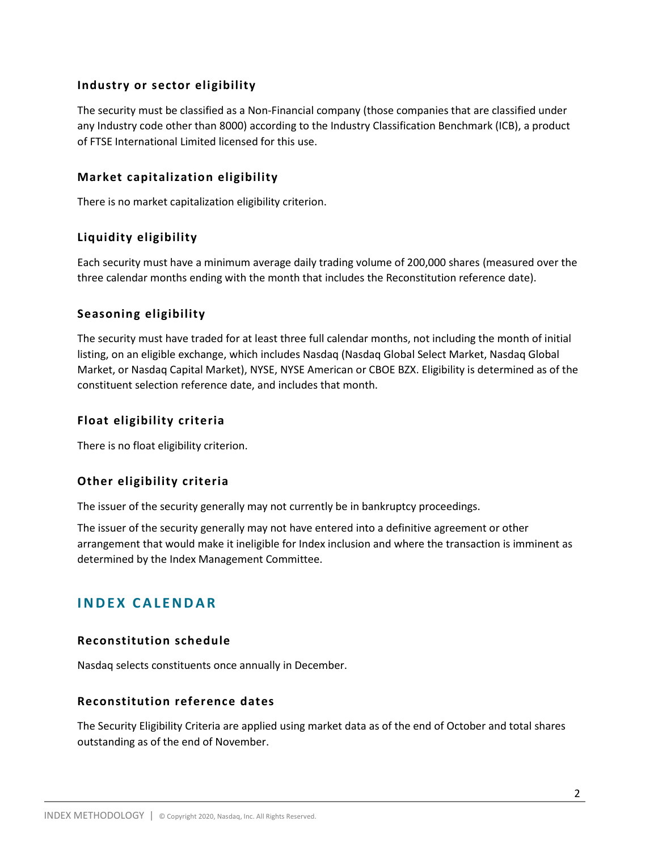#### **Industry or sector eligibility**

The security must be classified as a Non-Financial company (those companies that are classified under any Industry code other than 8000) according to the Industry Classification Benchmark (ICB), a product of FTSE International Limited licensed for this use.

#### **Market capitalization eligibility**

There is no market capitalization eligibility criterion.

#### **Liquidity eligibility**

Each security must have a minimum average daily trading volume of 200,000 shares (measured over the three calendar months ending with the month that includes the Reconstitution reference date).

#### **Seasoning eligibility**

The security must have traded for at least three full calendar months, not including the month of initial listing, on an eligible exchange, which includes Nasdaq (Nasdaq Global Select Market, Nasdaq Global Market, or Nasdaq Capital Market), NYSE, NYSE American or CBOE BZX. Eligibility is determined as of the constituent selection reference date, and includes that month.

#### **Float eligibility criteria**

There is no float eligibility criterion.

#### **Other eligibility criteria**

The issuer of the security generally may not currently be in bankruptcy proceedings.

The issuer of the security generally may not have entered into a definitive agreement or other arrangement that would make it ineligible for Index inclusion and where the transaction is imminent as determined by the Index Management Committee.

## **I N D E X C A L E N D A R**

#### **Reconstitution schedule**

Nasdaq selects constituents once annually in December.

#### **Reconstitution reference dates**

The Security Eligibility Criteria are applied using market data as of the end of October and total shares outstanding as of the end of November.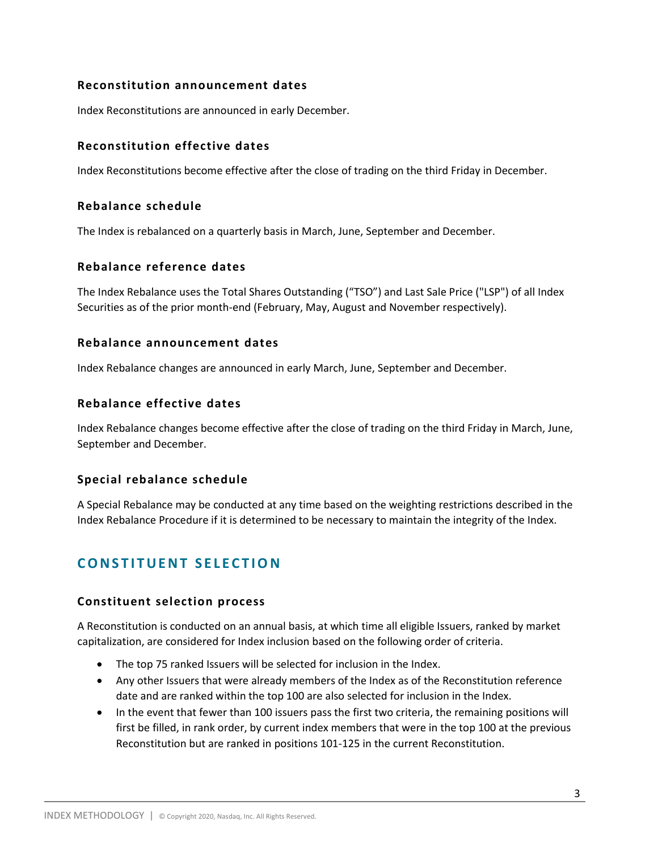#### **Reconstitution announcement dates**

Index Reconstitutions are announced in early December.

#### **Reconstitution effective dates**

Index Reconstitutions become effective after the close of trading on the third Friday in December.

#### **Rebalance schedule**

The Index is rebalanced on a quarterly basis in March, June, September and December.

#### **Rebalance reference dates**

The Index Rebalance uses the Total Shares Outstanding ("TSO") and Last Sale Price ("LSP") of all Index Securities as of the prior month-end (February, May, August and November respectively).

#### **Rebalance announcement dates**

Index Rebalance changes are announced in early March, June, September and December.

#### **Rebalance effective dates**

Index Rebalance changes become effective after the close of trading on the third Friday in March, June, September and December.

#### **Special rebalance schedule**

A Special Rebalance may be conducted at any time based on the weighting restrictions described in the Index Rebalance Procedure if it is determined to be necessary to maintain the integrity of the Index.

## **CONSTITUENT SELECTION**

#### **Constituent selection process**

A Reconstitution is conducted on an annual basis, at which time all eligible Issuers, ranked by market capitalization, are considered for Index inclusion based on the following order of criteria.

- The top 75 ranked Issuers will be selected for inclusion in the Index.
- Any other Issuers that were already members of the Index as of the Reconstitution reference date and are ranked within the top 100 are also selected for inclusion in the Index.
- In the event that fewer than 100 issuers pass the first two criteria, the remaining positions will first be filled, in rank order, by current index members that were in the top 100 at the previous Reconstitution but are ranked in positions 101-125 in the current Reconstitution.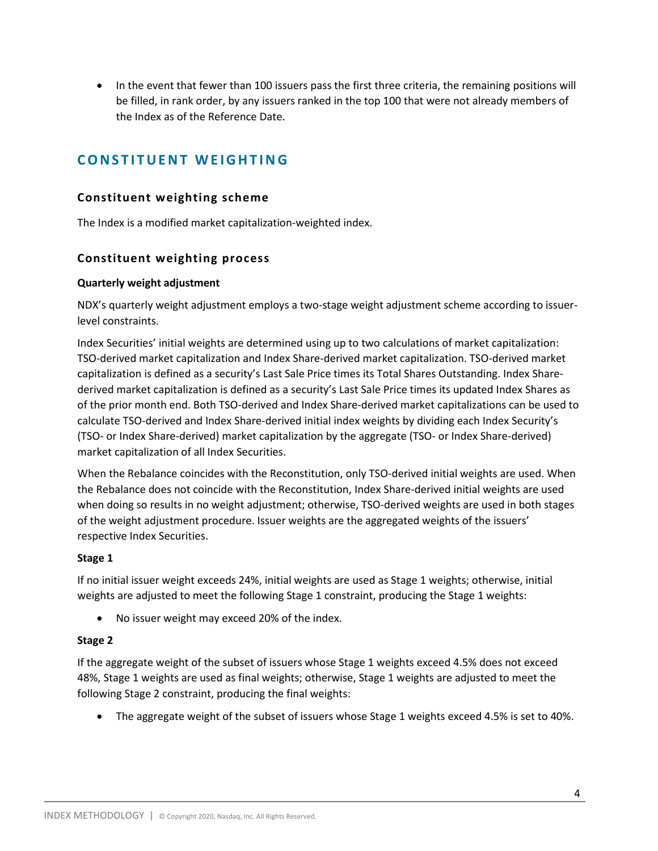• In the event that fewer than 100 issuers pass the first three criteria, the remaining positions will be filled, in rank order, by any issuers ranked in the top 100 that were not already members of the Index as of the Reference Date.

## **CONSTITUENT WEIGHTING**

#### **Constituent weighting scheme**

The Index is a modified market capitalization-weighted index.

#### **Constituent weighting process**

#### **Quarterly weight adjustment**

NDX's quarterly weight adjustment employs a two-stage weight adjustment scheme according to issuerlevel constraints.

Index Securities' initial weights are determined using up to two calculations of market capitalization: TSO-derived market capitalization and Index Share-derived market capitalization. TSO-derived market capitalization is defined as a security's Last Sale Price times its Total Shares Outstanding. Index Sharederived market capitalization is defined as a security's Last Sale Price times its updated Index Shares as of the prior month end. Both TSO-derived and Index Share-derived market capitalizations can be used to calculate TSO-derived and Index Share-derived initial index weights by dividing each Index Security's (TSO- or Index Share-derived) market capitalization by the aggregate (TSO- or Index Share-derived) market capitalization of all Index Securities.

When the Rebalance coincides with the Reconstitution, only TSO-derived initial weights are used. When the Rebalance does not coincide with the Reconstitution, Index Share-derived initial weights are used when doing so results in no weight adjustment; otherwise, TSO-derived weights are used in both stages of the weight adjustment procedure. Issuer weights are the aggregated weights of the issuers' respective Index Securities.

#### **Stage 1**

If no initial issuer weight exceeds 24%, initial weights are used as Stage 1 weights; otherwise, initial weights are adjusted to meet the following Stage 1 constraint, producing the Stage 1 weights:

No issuer weight may exceed 20% of the index.

#### **Stage 2**

If the aggregate weight of the subset of issuers whose Stage 1 weights exceed 4.5% does not exceed 48%, Stage 1 weights are used as final weights; otherwise, Stage 1 weights are adjusted to meet the following Stage 2 constraint, producing the final weights:

The aggregate weight of the subset of issuers whose Stage 1 weights exceed 4.5% is set to 40%.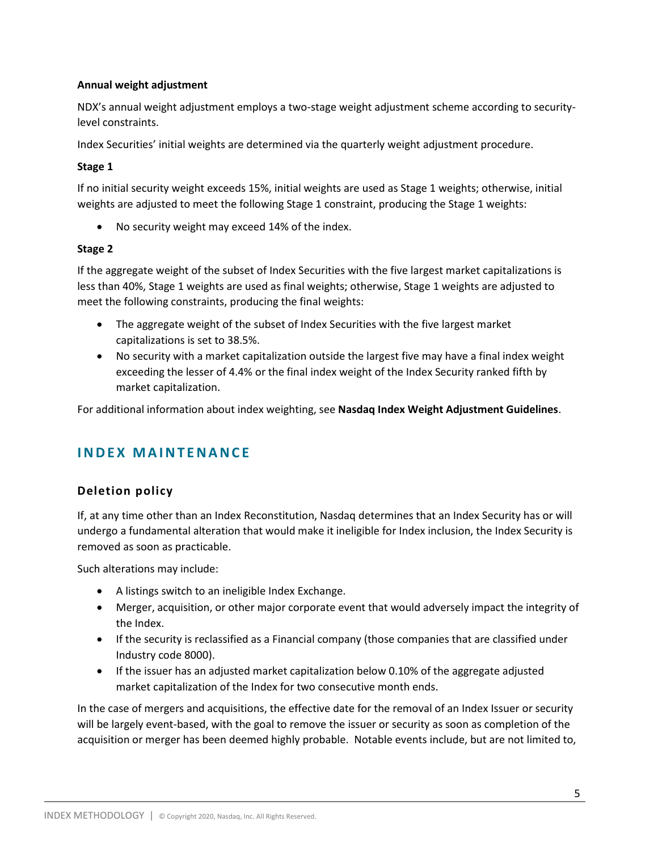#### **Annual weight adjustment**

NDX's annual weight adjustment employs a two-stage weight adjustment scheme according to securitylevel constraints.

Index Securities' initial weights are determined via the quarterly weight adjustment procedure.

#### **Stage 1**

If no initial security weight exceeds 15%, initial weights are used as Stage 1 weights; otherwise, initial weights are adjusted to meet the following Stage 1 constraint, producing the Stage 1 weights:

No security weight may exceed 14% of the index.

#### **Stage 2**

If the aggregate weight of the subset of Index Securities with the five largest market capitalizations is less than 40%, Stage 1 weights are used as final weights; otherwise, Stage 1 weights are adjusted to meet the following constraints, producing the final weights:

- The aggregate weight of the subset of Index Securities with the five largest market capitalizations is set to 38.5%.
- No security with a market capitalization outside the largest five may have a final index weight exceeding the lesser of 4.4% or the final index weight of the Index Security ranked fifth by market capitalization.

For additional information about index weighting, see **Nasdaq Index Weight Adjustment Guidelines**.

## **I N D E X M A I N T E N A N C E**

## **Deletion policy**

If, at any time other than an Index Reconstitution, Nasdaq determines that an Index Security has or will undergo a fundamental alteration that would make it ineligible for Index inclusion, the Index Security is removed as soon as practicable.

Such alterations may include:

- A listings switch to an ineligible Index Exchange.
- Merger, acquisition, or other major corporate event that would adversely impact the integrity of the Index.
- If the security is reclassified as a Financial company (those companies that are classified under Industry code 8000).
- If the issuer has an adjusted market capitalization below 0.10% of the aggregate adjusted market capitalization of the Index for two consecutive month ends.

In the case of mergers and acquisitions, the effective date for the removal of an Index Issuer or security will be largely event-based, with the goal to remove the issuer or security as soon as completion of the acquisition or merger has been deemed highly probable. Notable events include, but are not limited to,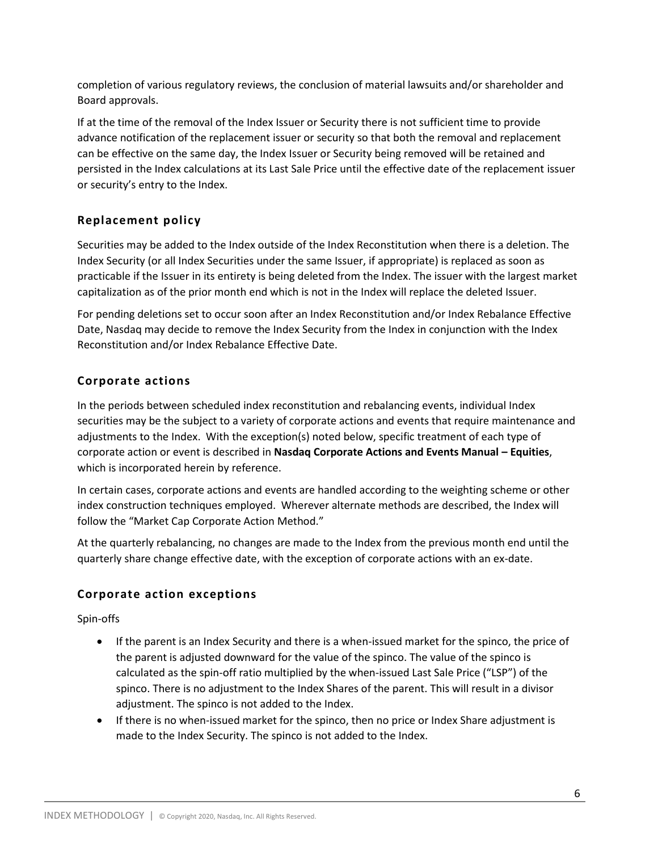completion of various regulatory reviews, the conclusion of material lawsuits and/or shareholder and Board approvals.

If at the time of the removal of the Index Issuer or Security there is not sufficient time to provide advance notification of the replacement issuer or security so that both the removal and replacement can be effective on the same day, the Index Issuer or Security being removed will be retained and persisted in the Index calculations at its Last Sale Price until the effective date of the replacement issuer or security's entry to the Index.

## **Replacement policy**

Securities may be added to the Index outside of the Index Reconstitution when there is a deletion. The Index Security (or all Index Securities under the same Issuer, if appropriate) is replaced as soon as practicable if the Issuer in its entirety is being deleted from the Index. The issuer with the largest market capitalization as of the prior month end which is not in the Index will replace the deleted Issuer.

For pending deletions set to occur soon after an Index Reconstitution and/or Index Rebalance Effective Date, Nasdaq may decide to remove the Index Security from the Index in conjunction with the Index Reconstitution and/or Index Rebalance Effective Date.

## **Corporate actions**

In the periods between scheduled index reconstitution and rebalancing events, individual Index securities may be the subject to a variety of corporate actions and events that require maintenance and adjustments to the Index. With the exception(s) noted below, specific treatment of each type of corporate action or event is described in **Nasdaq Corporate Actions and Events Manual – Equities**, which is incorporated herein by reference.

In certain cases, corporate actions and events are handled according to the weighting scheme or other index construction techniques employed. Wherever alternate methods are described, the Index will follow the "Market Cap Corporate Action Method."

At the quarterly rebalancing, no changes are made to the Index from the previous month end until the quarterly share change effective date, with the exception of corporate actions with an ex-date.

## **Corporate action exceptions**

Spin-offs

- If the parent is an Index Security and there is a when-issued market for the spinco, the price of the parent is adjusted downward for the value of the spinco. The value of the spinco is calculated as the spin-off ratio multiplied by the when-issued Last Sale Price ("LSP") of the spinco. There is no adjustment to the Index Shares of the parent. This will result in a divisor adjustment. The spinco is not added to the Index.
- If there is no when-issued market for the spinco, then no price or Index Share adjustment is made to the Index Security. The spinco is not added to the Index.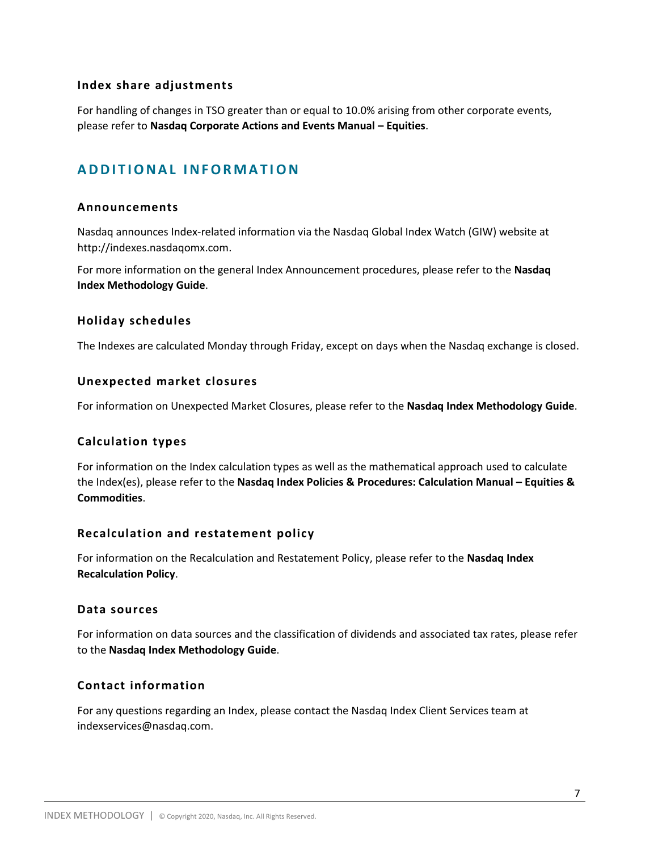#### **Index share adjustments**

For handling of changes in TSO greater than or equal to 10.0% arising from other corporate events, please refer to **Nasdaq Corporate Actions and Events Manual – Equities**.

## **A D D I T I O N A L I N F O R M A T IO N**

#### **Announcements**

Nasdaq announces Index-related information via the Nasdaq Global Index Watch (GIW) website at http://indexes.nasdaqomx.com.

For more information on the general Index Announcement procedures, please refer to the **Nasdaq Index Methodology Guide**.

#### **Holiday schedules**

The Indexes are calculated Monday through Friday, except on days when the Nasdaq exchange is closed.

#### **Unexpected market closures**

For information on Unexpected Market Closures, please refer to the **Nasdaq Index Methodology Guide**.

#### **Calculation types**

For information on the Index calculation types as well as the mathematical approach used to calculate the Index(es), please refer to the **Nasdaq Index Policies & Procedures: Calculation Manual – Equities & Commodities**.

#### **Recalculation and restatement policy**

For information on the Recalculation and Restatement Policy, please refer to the **Nasdaq Index Recalculation Policy**.

#### **Data sources**

For information on data sources and the classification of dividends and associated tax rates, please refer to the **Nasdaq Index Methodology Guide**.

#### **Contact information**

For any questions regarding an Index, please contact the Nasdaq Index Client Services team at indexservices@nasdaq.com.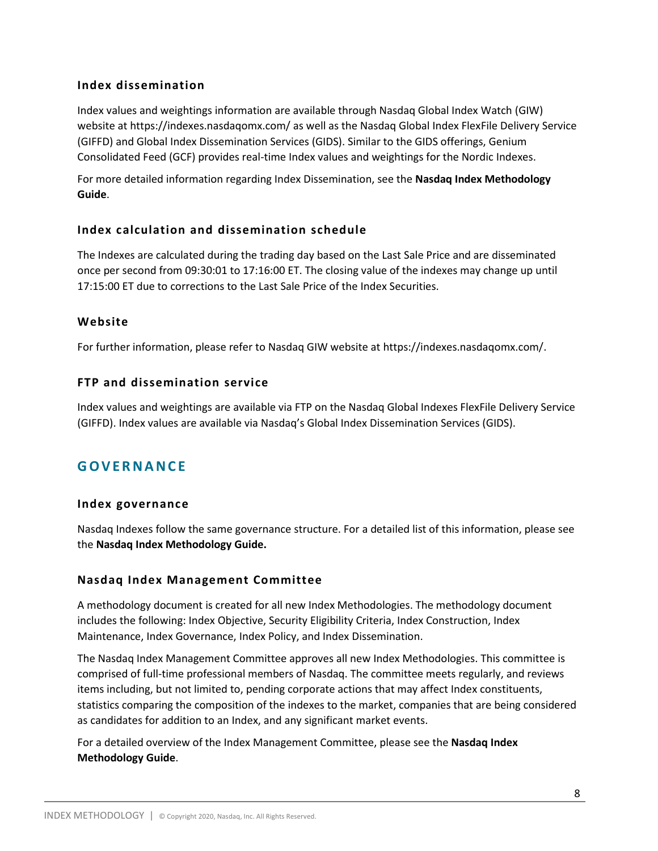### **Index dissemination**

Index values and weightings information are available through Nasdaq Global Index Watch (GIW) website at https://indexes.nasdaqomx.com/ as well as the Nasdaq Global Index FlexFile Delivery Service (GIFFD) and Global Index Dissemination Services (GIDS). Similar to the GIDS offerings, Genium Consolidated Feed (GCF) provides real-time Index values and weightings for the Nordic Indexes.

For more detailed information regarding Index Dissemination, see the **Nasdaq Index Methodology Guide**.

### **Index calculation and dissemination schedule**

The Indexes are calculated during the trading day based on the Last Sale Price and are disseminated once per second from 09:30:01 to 17:16:00 ET. The closing value of the indexes may change up until 17:15:00 ET due to corrections to the Last Sale Price of the Index Securities.

### **Website**

For further information, please refer to Nasdaq GIW website at https://indexes.nasdaqomx.com/.

### **FTP and dissemination service**

Index values and weightings are available via FTP on the Nasdaq Global Indexes FlexFile Delivery Service (GIFFD). Index values are available via Nasdaq's Global Index Dissemination Services (GIDS).

## **G O V E R N A N C E**

#### **Index governance**

Nasdaq Indexes follow the same governance structure. For a detailed list of this information, please see the **Nasdaq Index Methodology Guide.**

#### **Nasdaq Index Management Committee**

A methodology document is created for all new Index Methodologies. The methodology document includes the following: Index Objective, Security Eligibility Criteria, Index Construction, Index Maintenance, Index Governance, Index Policy, and Index Dissemination.

The Nasdaq Index Management Committee approves all new Index Methodologies. This committee is comprised of full-time professional members of Nasdaq. The committee meets regularly, and reviews items including, but not limited to, pending corporate actions that may affect Index constituents, statistics comparing the composition of the indexes to the market, companies that are being considered as candidates for addition to an Index, and any significant market events.

For a detailed overview of the Index Management Committee, please see the **Nasdaq Index Methodology Guide**.